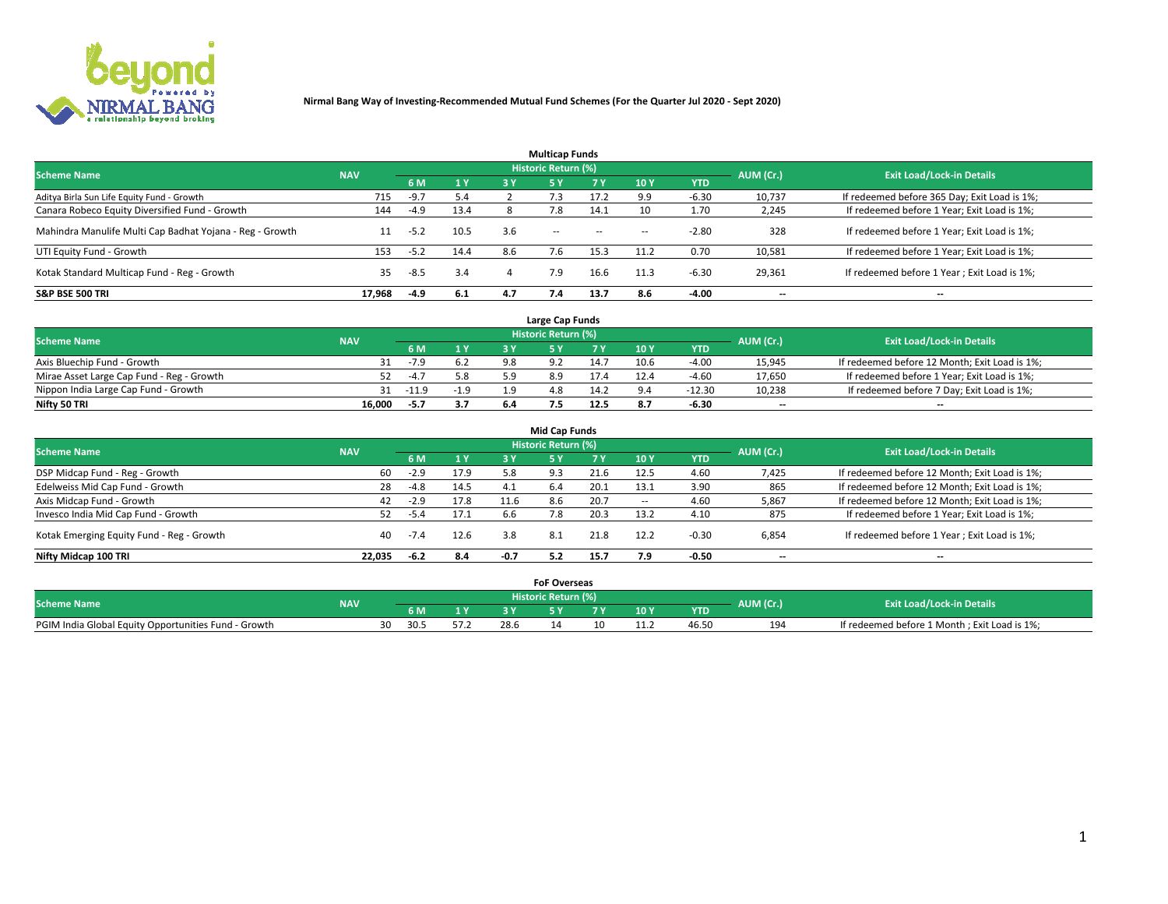

|                                                          |            |        |      |     | <b>Multicap Funds</b> |           |        |            |           |                                              |
|----------------------------------------------------------|------------|--------|------|-----|-----------------------|-----------|--------|------------|-----------|----------------------------------------------|
| <b>Scheme Name</b>                                       | <b>NAV</b> |        |      |     | Historic Return (%)   |           |        |            | AUM (Cr.) | <b>Exit Load/Lock-in Details</b>             |
|                                                          |            | 6 M    | 1 Y  | 3 Y | <b>5Y</b>             | <b>7Y</b> | 10Y    | <b>YTD</b> |           |                                              |
| Aditya Birla Sun Life Equity Fund - Growth               | 715        | $-9.7$ | 5.4  |     |                       |           | 9.9    | $-6.30$    | 10,737    | If redeemed before 365 Day; Exit Load is 1%; |
| Canara Robeco Equity Diversified Fund - Growth           | 144        | -4.9   | 13.4 |     | 7.8                   | 14.1      | 10     | 1.70       | 2,245     | If redeemed before 1 Year; Exit Load is 1%;  |
| Mahindra Manulife Multi Cap Badhat Yojana - Reg - Growth | 11         | $-5.2$ | 10.5 | 3.6 | $\sim$ $-$            | $\sim$    | $\sim$ | $-2.80$    | 328       | If redeemed before 1 Year; Exit Load is 1%;  |
| UTI Equity Fund - Growth                                 | 153        | $-5.2$ | 14.4 | 8.6 | 7.6                   | 15.3      | 11.2   | 0.70       | 10,581    | If redeemed before 1 Year; Exit Load is 1%;  |
| Kotak Standard Multicap Fund - Reg - Growth              | 35         | -8.5   | 3.4  |     | 7.9                   | 16.6      | 11.3   | $-6.30$    | 29,361    | If redeemed before 1 Year; Exit Load is 1%;  |
| <b>S&amp;P BSE 500 TRI</b>                               | 17.968     | $-4.9$ | 6.1  | 4.7 |                       | 13.7      | 8.6    | $-4.00$    | --        | $- -$                                        |

|                                           |            |        |                |     | Large Cap Funds     |      |      |            |                          |                                               |
|-------------------------------------------|------------|--------|----------------|-----|---------------------|------|------|------------|--------------------------|-----------------------------------------------|
| <b>Scheme Name</b>                        | <b>NAV</b> |        |                |     | Historic Return (%) |      |      |            | AUM (Cr.)                | <b>Exit Load/Lock-in Details</b>              |
|                                           |            | 6 M    | 4 <sub>Y</sub> |     |                     |      | 10 Y | <b>YTD</b> |                          |                                               |
| Axis Bluechip Fund - Growth               |            | $-7.9$ |                | 9.8 |                     | 14.7 | 10.6 | $-4.00$    | 15,945                   | If redeemed before 12 Month; Exit Load is 1%; |
| Mirae Asset Large Cap Fund - Reg - Growth |            | $-4.7$ | 5.8            |     |                     |      |      | $-4.60$    | 17,650                   | If redeemed before 1 Year; Exit Load is 1%;   |
| Nippon India Large Cap Fund - Growth      |            | -11.9  | $-1.9$         |     | 4.8                 | 14.2 |      | $-12.30$   | 10,238                   | If redeemed before 7 Day; Exit Load is 1%;    |
| Nifty 50 TRI                              | 16.000     | -5.7   | 3.7            |     |                     | 12.5 |      | -6.30      | $\overline{\phantom{a}}$ | $- -$                                         |

| <b>Mid Cap Funds</b>                      |            |        |      |        |                     |      |                 |            |                          |                                               |  |  |  |
|-------------------------------------------|------------|--------|------|--------|---------------------|------|-----------------|------------|--------------------------|-----------------------------------------------|--|--|--|
| <b>Scheme Name</b>                        | <b>NAV</b> |        |      |        | Historic Return (%) |      |                 |            | AUM (Cr.)                | <b>Exit Load/Lock-in Details</b>              |  |  |  |
|                                           |            | 6 M    | 1Y   | 3 Y    | .5 Y                |      | 10 <sub>Y</sub> | <b>YTD</b> |                          |                                               |  |  |  |
| DSP Midcap Fund - Reg - Growth            | 60         | $-2.9$ | 17.9 | 5.8    | 9.3                 | 21.6 | 12.5            | 4.60       | 7,425                    | If redeemed before 12 Month; Exit Load is 1%; |  |  |  |
| Edelweiss Mid Cap Fund - Growth           | 28         | $-4.8$ | 14.5 | 4.1    | 6.4                 | 20.1 | 13.1            | 3.90       | 865                      | If redeemed before 12 Month; Exit Load is 1%; |  |  |  |
| Axis Midcap Fund - Growth                 | 42         | $-2.9$ | 17.8 | 11.6   | 8.6                 | 20.7 | $\sim$          | 4.60       | 5,867                    | If redeemed before 12 Month; Exit Load is 1%; |  |  |  |
| Invesco India Mid Cap Fund - Growth       | 52         | -5.4   | 17.1 | 6.6    |                     | 20.3 | 13.2            | 4.10       | 875                      | If redeemed before 1 Year; Exit Load is 1%;   |  |  |  |
| Kotak Emerging Equity Fund - Reg - Growth | 40         |        | 12.6 | 3.8    | 8.1                 | 21.8 | 12.2            | -0.30      | 6,854                    | If redeemed before 1 Year; Exit Load is 1%;   |  |  |  |
| Nifty Midcap 100 TRI                      | 22.035     | $-6.2$ | 8.4  | $-0.7$ | 5.2                 | 15.7 | 7.9             | $-0.50$    | $\overline{\phantom{a}}$ | $\overline{\phantom{a}}$                      |  |  |  |

|                                                      |            |      |    |      | <b>FoF Overseas</b> |    |      |            |           |                                              |  |
|------------------------------------------------------|------------|------|----|------|---------------------|----|------|------------|-----------|----------------------------------------------|--|
| <b>Scheme Name</b>                                   | <b>NAV</b> |      |    |      | Historic Return (%) |    |      |            | AUM (Cr.) | <b>Exit Load/Lock-in Details</b>             |  |
|                                                      |            | 6 M  | 1Y |      |                     |    | 10 Y | <b>YTD</b> |           |                                              |  |
| PGIM India Global Equity Opportunities Fund - Growth |            | 30.5 |    | 28.6 |                     | 10 |      |            | 194       | If redeemed before 1 Month; Exit Load is 1%; |  |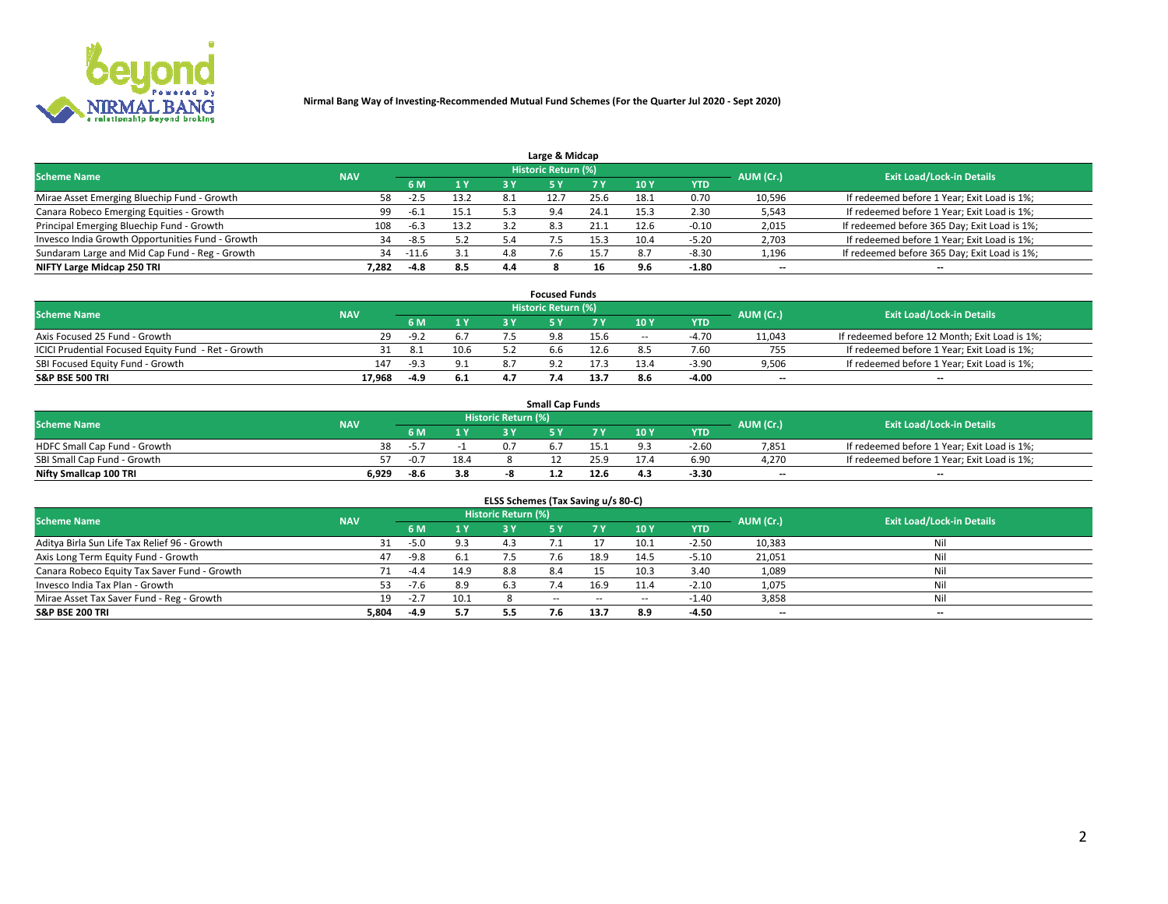

| Large & Midcap                                   |            |        |      |      |                     |      |      |            |                          |                                              |  |  |  |  |
|--------------------------------------------------|------------|--------|------|------|---------------------|------|------|------------|--------------------------|----------------------------------------------|--|--|--|--|
| <b>Scheme Name</b>                               | <b>NAV</b> |        |      |      | Historic Return (%) |      |      |            | AUM (Cr.)                | <b>Exit Load/Lock-in Details</b>             |  |  |  |  |
|                                                  |            | 6 M    | 1 Y  | 3 Y  |                     | 7 V  | 10Y  | <b>YTD</b> |                          |                                              |  |  |  |  |
| Mirae Asset Emerging Bluechip Fund - Growth      | 58         | -2.5   | 13.2 | -8.1 |                     | 25.6 | 18∴  | 0.70       | 10,596                   | If redeemed before 1 Year; Exit Load is 1%;  |  |  |  |  |
| Canara Robeco Emerging Equities - Growth         | 99         | $-6.1$ | 15.1 |      | 9.4                 | 24.1 | 15.3 | 2.30       | 5,543                    | If redeemed before 1 Year; Exit Load is 1%;  |  |  |  |  |
| Principal Emerging Bluechip Fund - Growth        | 108        | $-6.3$ | 13.2 |      | 8.3                 | 21.1 | 12.6 | $-0.10$    | 2,015                    | If redeemed before 365 Day; Exit Load is 1%; |  |  |  |  |
| Invesco India Growth Opportunities Fund - Growth | 34         | -8.5   | 5.2  |      |                     |      | 10.4 | -5.20      | 2,703                    | If redeemed before 1 Year; Exit Load is 1%;  |  |  |  |  |
| Sundaram Large and Mid Cap Fund - Reg - Growth   | 34         | -11.6  | 3.1  | 4.8  |                     |      |      | $-8.30$    | 1,196                    | If redeemed before 365 Day; Exit Load is 1%; |  |  |  |  |
| NIFTY Large Midcap 250 TRI                       | 7.282      | $-4.8$ | 8.5  | 4.4  |                     | 16   |      | $-1.80$    | $\overline{\phantom{a}}$ | $- -$                                        |  |  |  |  |

|                                                     |            |        |                | <b>Focused Funds</b>       |      |        |            |                          |                                               |
|-----------------------------------------------------|------------|--------|----------------|----------------------------|------|--------|------------|--------------------------|-----------------------------------------------|
| <b>Scheme Name</b>                                  | <b>NAV</b> |        |                | <b>Historic Return (%)</b> |      |        |            | AUM (Cr.)                | <b>Exit Load/Lock-in Details</b>              |
|                                                     |            | 6 M    | 1 <sub>V</sub> |                            |      | 10 Y   | <b>YTD</b> |                          |                                               |
| Axis Focused 25 Fund - Growth                       | 29         | $-9.2$ | 6.7            | 9.8                        | 15.6 | $\sim$ | $-4.70$    | 11,043                   | If redeemed before 12 Month; Exit Load is 1%; |
| ICICI Prudential Focused Equity Fund - Ret - Growth |            |        | 10.6           | 6.6                        | 12.6 |        | 7.60       | 755                      | If redeemed before 1 Year; Exit Load is 1%;   |
| SBI Focused Equity Fund - Growth                    | 147        | $-9.3$ | 9.1            |                            |      | 13.4   | $-3.9c$    | 9,506                    | If redeemed before 1 Year; Exit Load is 1%;   |
| S&P BSE 500 TRI                                     | 17.968     | -4.9   | 6.1            |                            | 13.7 |        | $-4.00$    | $\overline{\phantom{a}}$ | $- -$                                         |

| <b>Small Cap Funds</b>       |       |                                                |      |  |  |      |                 |            |       |                                             |  |  |  |
|------------------------------|-------|------------------------------------------------|------|--|--|------|-----------------|------------|-------|---------------------------------------------|--|--|--|
| <b>Scheme Name</b>           |       | Historic Return (%)<br>AUM (Cr.)<br><b>NAV</b> |      |  |  |      |                 |            |       | <b>Exit Load/Lock-in Details</b>            |  |  |  |
|                              |       | 6 M                                            | 1 Y  |  |  |      | 10 <sub>Y</sub> | <b>YTD</b> |       |                                             |  |  |  |
| HDFC Small Cap Fund - Growth | 38    | -5.                                            |      |  |  |      |                 | $-2.60$    | 7,851 | If redeemed before 1 Year; Exit Load is 1%; |  |  |  |
| SBI Small Cap Fund - Growth  |       | $-0.7$                                         | 18.4 |  |  | 25 Q |                 | 6.90       | 4.270 | If redeemed before 1 Year; Exit Load is 1%; |  |  |  |
| Nifty Smallcap 100 TRI       | 6,929 | -8.6                                           | 3.8  |  |  | 12.6 | 4.3             | $-3.30$    | $- -$ | $- -$                                       |  |  |  |

| ELSS Schemes (Tax Saving u/s 80-C)           |            |        |      |                            |           |        |                          |            |                          |                                  |  |  |  |
|----------------------------------------------|------------|--------|------|----------------------------|-----------|--------|--------------------------|------------|--------------------------|----------------------------------|--|--|--|
| <b>Scheme Name</b>                           | <b>NAV</b> |        |      | <b>Historic Return (%)</b> |           |        |                          |            | AUM (Cr.)                | <b>Exit Load/Lock-in Details</b> |  |  |  |
|                                              |            | - 6 M  | 1Y   | 3 Y                        | <b>5Y</b> | 7 Y    | 10 Y                     | <b>YTD</b> |                          |                                  |  |  |  |
| Aditya Birla Sun Life Tax Relief 96 - Growth |            | $-5.0$ | 9.3  | 43                         |           |        | 10.1                     | $-2.50$    | 10,383                   | Nil                              |  |  |  |
| Axis Long Term Equity Fund - Growth          | 47         | $-9.8$ | 6.1  | 7.5                        |           | 18.9   | 14.5                     | $-5.10$    | 21,051                   | Nil                              |  |  |  |
| Canara Robeco Equity Tax Saver Fund - Growth |            | $-4.4$ | 14.9 | 8.8                        | 8.4       |        | 10.3                     | 3.40       | 1,089                    | Nil                              |  |  |  |
| Invesco India Tax Plan - Growth              | 53.        | $-7.6$ | 8.9  | 6.3                        |           | 16.9   | 11.4                     | $-2.10$    | 1,075                    | Nil                              |  |  |  |
| Mirae Asset Tax Saver Fund - Reg - Growth    | 19         | $-2.7$ | 10.1 |                            | $- -$     | $\sim$ | $\overline{\phantom{a}}$ | $-1.40$    | 3,858                    | Nil                              |  |  |  |
| S&P BSE 200 TRI                              | 5,804      | -4.9   | 5.7  |                            |           | 13.7   | 8.9                      | -4.50      | $\overline{\phantom{a}}$ | $- -$                            |  |  |  |

# 2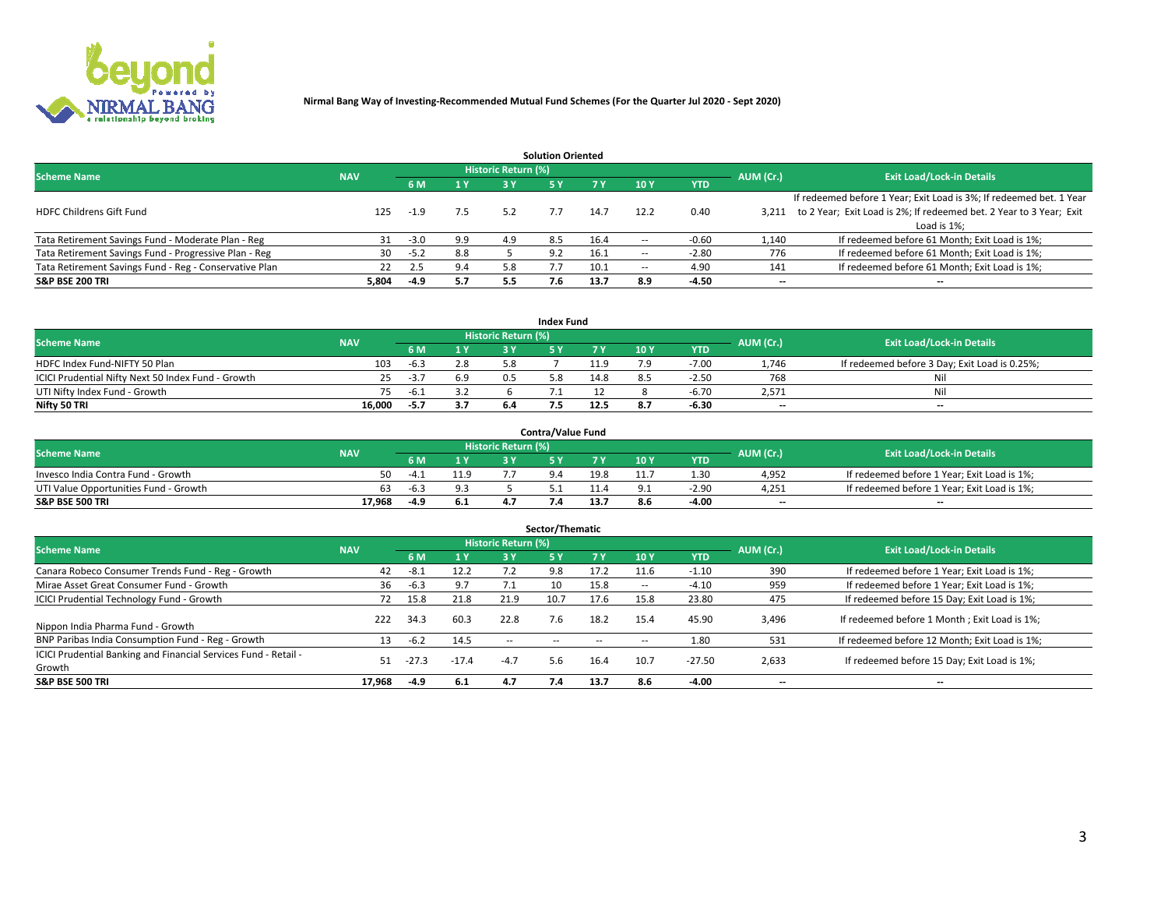

|                                                        |            |            |     |                            | <b>Solution Oriented</b> |      |                          |            |                          |                                                                     |
|--------------------------------------------------------|------------|------------|-----|----------------------------|--------------------------|------|--------------------------|------------|--------------------------|---------------------------------------------------------------------|
| <b>Scheme Name</b>                                     | <b>NAV</b> |            |     | <b>Historic Return (%)</b> |                          |      |                          |            | AUM (Cr.)                | <b>Exit Load/Lock-in Details</b>                                    |
|                                                        |            | <b>6 M</b> | 1 Y | 3 Y                        |                          |      | 10Y                      | <b>YTD</b> |                          |                                                                     |
|                                                        |            |            |     |                            |                          |      |                          |            |                          | If redeemed before 1 Year; Exit Load is 3%; If redeemed bet. 1 Year |
| <b>HDFC Childrens Gift Fund</b>                        | 125        | $-1.9$     | 7.5 | 5.2                        |                          | 14.7 | 12.2                     | 0.40       | 3.211                    | to 2 Year; Exit Load is 2%; If redeemed bet. 2 Year to 3 Year; Exit |
|                                                        |            |            |     |                            |                          |      |                          |            |                          | Load is 1%;                                                         |
| Tata Retirement Savings Fund - Moderate Plan - Reg     | 31         | $-3.0$     | 9.9 | 4.9                        | 8.5                      | 16.4 | --                       | $-0.60$    | 1,140                    | If redeemed before 61 Month; Exit Load is 1%;                       |
| Tata Retirement Savings Fund - Progressive Plan - Reg  | 30         | $-5.2$     | 8.8 |                            | 9.2                      | 16.1 | $\overline{\phantom{a}}$ | $-2.80$    | 776                      | If redeemed before 61 Month; Exit Load is 1%;                       |
| Tata Retirement Savings Fund - Reg - Conservative Plan | 22         | 2.5        | 9.4 | 5.8                        |                          | 10.1 | --                       | 4.90       | 141                      | If redeemed before 61 Month; Exit Load is 1%;                       |
| S&P BSE 200 TRI                                        | 5,804      | $-4.9$     | 5.7 | 5.5                        | 7.6                      | 13.7 | 8.9                      | $-4.50$    | $\overline{\phantom{a}}$ | $- -$                                                               |

|                                                    |            |        |              |                            | <b>Index Fund</b> |      |      |            |                          |                                               |
|----------------------------------------------------|------------|--------|--------------|----------------------------|-------------------|------|------|------------|--------------------------|-----------------------------------------------|
| <b>Scheme Name</b>                                 | <b>NAV</b> |        |              | <b>Historic Return (%)</b> |                   |      |      |            | AUM (Cr.)                | <b>Exit Load/Lock-in Details</b>              |
|                                                    |            | 6 M    | $\sqrt{1}$ Y | 2 V                        |                   |      | 10 Y | <b>YTD</b> |                          |                                               |
| HDFC Index Fund-NIFTY 50 Plan                      | 103        | -6.3   | 2.8          |                            |                   | 11.9 | ם ד  | $-7.00$    | 1.746                    | If redeemed before 3 Day; Exit Load is 0.25%; |
| ICICI Prudential Nifty Next 50 Index Fund - Growth |            | $-3.7$ | 6.9          |                            |                   | 14.8 |      | $-2.50$    | 768                      | Nil                                           |
| UTI Nifty Index Fund - Growth                      |            | -6.1   |              |                            |                   |      |      | -6.70      | 2,571                    | Nil                                           |
| Nifty 50 TRI                                       | 16.000     | $-5.7$ | 3.7          |                            |                   | 12.5 | 8.7  | -6.30      | $\overline{\phantom{a}}$ | $- -$                                         |

|                                       |            |                |      |                            | <b>Contra/Value Fund</b> |      |     |            |                          |                                             |
|---------------------------------------|------------|----------------|------|----------------------------|--------------------------|------|-----|------------|--------------------------|---------------------------------------------|
| <b>Scheme Name</b>                    | <b>NAV</b> |                |      | <b>Historic Return (%)</b> |                          |      |     |            | AUM (Cr.)                | <b>Exit Load/Lock-in Details</b>            |
|                                       |            |                | 1 V  |                            |                          | 7 V  | 10Y | <b>YTD</b> |                          |                                             |
| Invesco India Contra Fund - Growth    | 50         | $-4$ $\degree$ | 11.9 |                            |                          | 19.8 |     | 1.30       | 4,952                    | If redeemed before 1 Year; Exit Load is 1%; |
| UTI Value Opportunities Fund - Growth | 63         | -6.3           |      |                            |                          |      |     | $-2.9C$    | 4,251                    | If redeemed before 1 Year; Exit Load is 1%; |
| <b>S&amp;P BSE 500 TRI</b>            | 17.968     | -4.9           | 6.1  |                            |                          |      |     | $-4.00$    | $\overline{\phantom{a}}$ | $- -$                                       |

| Sector/Thematic                                                           |            |        |         |                     |            |            |                          |            |           |                                               |  |  |  |
|---------------------------------------------------------------------------|------------|--------|---------|---------------------|------------|------------|--------------------------|------------|-----------|-----------------------------------------------|--|--|--|
| <b>Scheme Name</b>                                                        | <b>NAV</b> |        |         | Historic Return (%) |            |            |                          |            | AUM (Cr.) | <b>Exit Load/Lock-in Details</b>              |  |  |  |
|                                                                           |            | 6 M    | 1 Y     | 3 Y                 | <b>5Y</b>  | <b>7 Y</b> | 10Y                      | <b>YTD</b> |           |                                               |  |  |  |
| Canara Robeco Consumer Trends Fund - Reg - Growth                         | 42         | $-8.1$ | 12.2    | 7.2                 | 9.8        | 17.2       | 11.6                     | $-1.10$    | 390       | If redeemed before 1 Year; Exit Load is 1%;   |  |  |  |
| Mirae Asset Great Consumer Fund - Growth                                  | 36         | $-6.3$ | 9.7     |                     | 10         | 15.8       | $\overline{\phantom{a}}$ | $-4.10$    | 959       | If redeemed before 1 Year; Exit Load is 1%;   |  |  |  |
| <b>ICICI Prudential Technology Fund - Growth</b>                          | 72         | 15.8   | 21.8    | 21.9                | 10.7       | 17.6       | 15.8                     | 23.80      | 475       | If redeemed before 15 Day; Exit Load is 1%;   |  |  |  |
| Nippon India Pharma Fund - Growth                                         | 222        | 34.3   | 60.3    | 22.8                | 7.6        | 18.2       | 15.4                     | 45.90      | 3,496     | If redeemed before 1 Month; Exit Load is 1%;  |  |  |  |
| BNP Paribas India Consumption Fund - Reg - Growth                         | 13         | $-6.2$ | 14.5    | $\sim$ $\sim$       | $\sim$ $-$ | $\sim$     | $\overline{\phantom{a}}$ | 1.80       | 531       | If redeemed before 12 Month; Exit Load is 1%; |  |  |  |
| ICICI Prudential Banking and Financial Services Fund - Retail -<br>Growth | 51         | -27.3  | $-17.4$ | $-4.7$              | 5.6        | 16.4       | 10.7                     | $-27.50$   | 2,633     | If redeemed before 15 Day; Exit Load is 1%;   |  |  |  |
| <b>S&amp;P BSE 500 TRI</b>                                                | 17.968     | -4.9   | 6.1     | 4.7                 | 7.4        | 13.7       | 8.6                      | $-4.00$    | $- -$     | --                                            |  |  |  |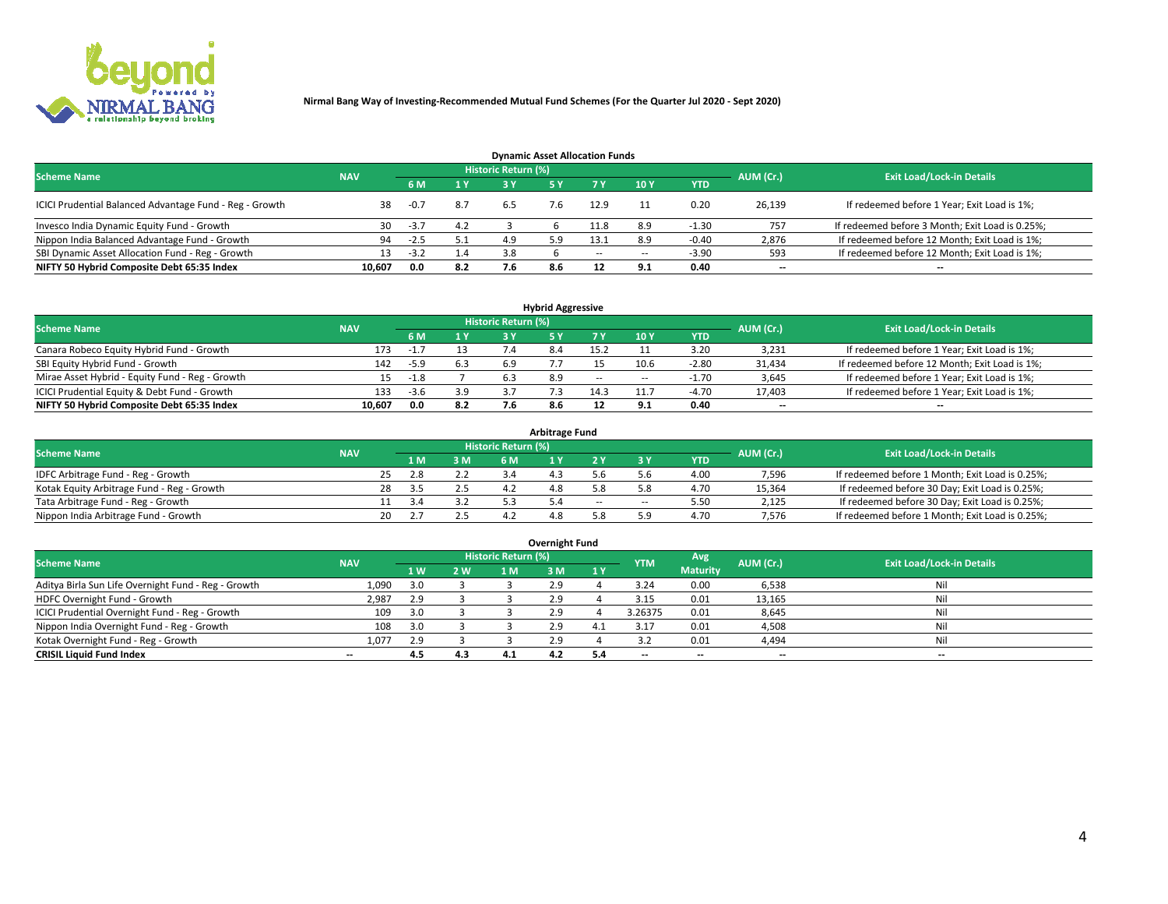

| <b>Dynamic Asset Allocation Funds</b>                   |                                                                                                                 |        |     |     |     |        |     |            |                          |                                                 |  |  |  |  |  |
|---------------------------------------------------------|-----------------------------------------------------------------------------------------------------------------|--------|-----|-----|-----|--------|-----|------------|--------------------------|-------------------------------------------------|--|--|--|--|--|
|                                                         | <b>Historic Return (%)</b><br><b>Exit Load/Lock-in Details</b><br><b>Scheme Name</b><br>AUM (Cr.)<br><b>NAV</b> |        |     |     |     |        |     |            |                          |                                                 |  |  |  |  |  |
|                                                         |                                                                                                                 | 6 M    | 1 Y | 3 Y |     |        | 10Y | <b>YTD</b> |                          |                                                 |  |  |  |  |  |
| ICICI Prudential Balanced Advantage Fund - Reg - Growth | 38                                                                                                              | $-0.7$ | 8.7 | 6.5 | 7.6 | 12.9   |     | 0.20       | 26,139                   | If redeemed before 1 Year; Exit Load is 1%;     |  |  |  |  |  |
| Invesco India Dynamic Equity Fund - Growth              | 30                                                                                                              | $-3.7$ | 4.2 |     |     | 1.8    | 8.9 | $-1.30$    | 757                      | If redeemed before 3 Month; Exit Load is 0.25%; |  |  |  |  |  |
| Nippon India Balanced Advantage Fund - Growth           | 94                                                                                                              | -2.5   | 5.1 | 4.9 |     | 13.1   | 8.9 | $-0.40$    | 2,876                    | If redeemed before 12 Month; Exit Load is 1%;   |  |  |  |  |  |
| SBI Dynamic Asset Allocation Fund - Reg - Growth        |                                                                                                                 | $-3.2$ | 1.4 | 3.8 |     | $\sim$ | --  | $-3.90$    | 593                      | If redeemed before 12 Month; Exit Load is 1%;   |  |  |  |  |  |
| NIFTY 50 Hybrid Composite Debt 65:35 Index              | 10,607                                                                                                          | 0.0    | 8.2 |     | 8.6 | 12     | 9.1 | 0.40       | $\overline{\phantom{a}}$ | $- -$                                           |  |  |  |  |  |

| <b>Hybrid Aggressive</b>                        |                                                                                                          |        |     |     |     |        |                          |            |                          |                                               |  |  |  |  |  |
|-------------------------------------------------|----------------------------------------------------------------------------------------------------------|--------|-----|-----|-----|--------|--------------------------|------------|--------------------------|-----------------------------------------------|--|--|--|--|--|
|                                                 | Historic Return (%)<br><b>Exit Load/Lock-in Details</b><br><b>Scheme Name</b><br>AUM (Cr.)<br><b>NAV</b> |        |     |     |     |        |                          |            |                          |                                               |  |  |  |  |  |
|                                                 |                                                                                                          | 6 M    | 1 Y | RУ  |     |        | 10Y                      | <b>YTD</b> |                          |                                               |  |  |  |  |  |
| Canara Robeco Equity Hybrid Fund - Growth       | 173                                                                                                      |        |     |     |     | 15.7   |                          | 3.20       | 3,231                    | If redeemed before 1 Year; Exit Load is 1%;   |  |  |  |  |  |
| SBI Equity Hybrid Fund - Growth                 | 142                                                                                                      | -5.9   | 6.3 |     |     |        | 10.6                     | $-2.80$    | 31,434                   | If redeemed before 12 Month; Exit Load is 1%; |  |  |  |  |  |
| Mirae Asset Hybrid - Equity Fund - Reg - Growth | 15                                                                                                       | $-1.8$ |     | 6.3 | 8.9 | $\sim$ | $\overline{\phantom{a}}$ | $-1.70$    | 3,645                    | If redeemed before 1 Year; Exit Load is 1%;   |  |  |  |  |  |
| ICICI Prudential Equity & Debt Fund - Growth    | 133                                                                                                      | $-3.6$ | 3.9 |     |     | 14.3   | 11.7                     | $-4.70$    | 17,403                   | If redeemed before 1 Year; Exit Load is 1%;   |  |  |  |  |  |
| NIFTY 50 Hybrid Composite Debt 65:35 Index      | 10.607                                                                                                   | 0.0    | 8.2 |     |     |        |                          | 0.40       | $\overline{\phantom{a}}$ | $- -$                                         |  |  |  |  |  |

| <b>Arbitrage Fund</b>                      |            |      |     |                     |  |       |     |            |           |                                                 |  |  |  |  |
|--------------------------------------------|------------|------|-----|---------------------|--|-------|-----|------------|-----------|-------------------------------------------------|--|--|--|--|
| <b>Scheme Name</b>                         | <b>NAV</b> |      |     | Historic Return (%) |  |       |     |            | AUM (Cr.) | <b>Exit Load/Lock-in Details</b>                |  |  |  |  |
|                                            |            | 1 M. | 3 M | 6 M                 |  |       |     | <b>YTD</b> |           |                                                 |  |  |  |  |
| IDFC Arbitrage Fund - Reg - Growth         |            | 2.8  | 2.2 |                     |  |       |     | 4.00       | 7,596     | If redeemed before 1 Month; Exit Load is 0.25%; |  |  |  |  |
| Kotak Equity Arbitrage Fund - Reg - Growth | 28         |      |     |                     |  |       |     | 4.70       | 15,364    | If redeemed before 30 Day; Exit Load is 0.25%;  |  |  |  |  |
| Tata Arbitrage Fund - Reg - Growth         |            |      |     |                     |  | $- -$ | $-$ | 5.50       | 2,125     | If redeemed before 30 Day; Exit Load is 0.25%;  |  |  |  |  |
| Nippon India Arbitrage Fund - Growth       | 20         |      |     |                     |  |       |     | 4.70       | 7,576     | If redeemed before 1 Month; Exit Load is 0.25%; |  |  |  |  |

|                                                     |            |     |     |                            | Overnight Fund |           |                          |                 |                          |                                  |
|-----------------------------------------------------|------------|-----|-----|----------------------------|----------------|-----------|--------------------------|-----------------|--------------------------|----------------------------------|
| <b>Scheme Name</b>                                  | <b>NAV</b> |     |     | <b>Historic Return (%)</b> |                |           | <b>YTM</b>               | Avg             | AUM (Cr.)                | <b>Exit Load/Lock-in Details</b> |
|                                                     |            | 1 W | 2 W | 1 M                        | 3 M            | <b>1Y</b> |                          | <b>Maturity</b> |                          |                                  |
| Aditya Birla Sun Life Overnight Fund - Reg - Growth | 1,090      |     |     |                            | 2.9            |           | 3.24                     | 0.00            | 6,538                    | Nil                              |
| HDFC Overnight Fund - Growth                        | 2,987      |     |     |                            | 2.9            |           | 3.15                     | 0.01            | 13,165                   | Nil                              |
| ICICI Prudential Overnight Fund - Reg - Growth      | 109        |     |     |                            | 2.9            |           | 3.26375                  | 0.01            | 8,645                    | Nil                              |
| Nippon India Overnight Fund - Reg - Growth          | 108        | 3.0 |     |                            | 2.9            | 4         | 3.17                     | 0.01            | 4,508                    | Nil                              |
| Kotak Overnight Fund - Reg - Growth                 | 1.077      | 2.9 |     |                            | 2.9            |           |                          | 0.01            | 4,494                    | Nil                              |
| <b>CRISIL Liquid Fund Index</b>                     | $- -$      | 4.5 | 4.3 | 4.1                        | 4.2            | 5.4       | $\overline{\phantom{a}}$ | $- -$           | $\overline{\phantom{a}}$ | --                               |

#### **Overnight Fund**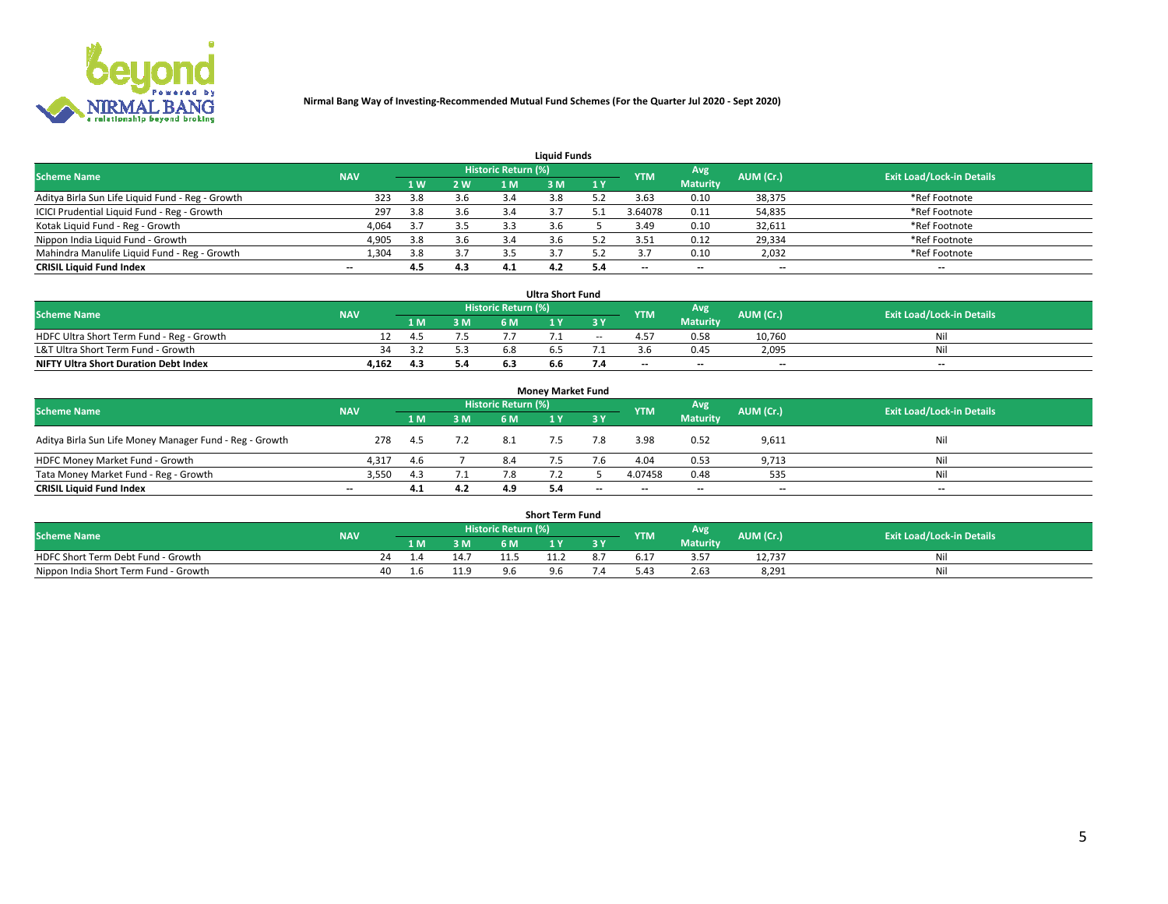

| <b>Liquid Funds</b>                              |            |                      |     |                     |     |     |            |                 |           |                                  |  |  |  |  |
|--------------------------------------------------|------------|----------------------|-----|---------------------|-----|-----|------------|-----------------|-----------|----------------------------------|--|--|--|--|
| <b>Scheme Name</b>                               | <b>NAV</b> |                      |     | Historic Return (%) |     |     | <b>YTM</b> | Avg             | AUM (Cr.) | <b>Exit Load/Lock-in Details</b> |  |  |  |  |
|                                                  |            | $4 \,$ W $^{\prime}$ | 2 W | 1 M                 | M   | 1 Y |            | <b>Maturity</b> |           |                                  |  |  |  |  |
| Aditya Birla Sun Life Liquid Fund - Reg - Growth | 323        | 3.8                  | 3.6 |                     |     |     | 3.63       | 0.10            | 38,375    | *Ref Footnote                    |  |  |  |  |
| ICICI Prudential Liquid Fund - Reg - Growth      | 297        | 3.8                  | 3.6 | 3.4                 |     |     | 3.64078    | 0.11            | 54,835    | *Ref Footnote                    |  |  |  |  |
| Kotak Liquid Fund - Reg - Growth                 | 4,064      |                      | 3.5 |                     |     |     | 3.49       | 0.10            | 32,611    | *Ref Footnote                    |  |  |  |  |
| Nippon India Liquid Fund - Growth                | 4,905      | 3.8                  | 3.6 | -5.4                |     |     | 3.51       | 0.12            | 29,334    | *Ref Footnote                    |  |  |  |  |
| Mahindra Manulife Liquid Fund - Reg - Growth     | 1,304      | 3.8                  | 3.7 | 3.5                 |     |     |            | 0.10            | 2,032     | *Ref Footnote                    |  |  |  |  |
| <b>CRISIL Liquid Fund Index</b>                  | $- -$      | 4.5                  | 4.3 | 4.1                 | 4.2 |     | --         | $- -$           | --        | $\overline{\phantom{a}}$         |  |  |  |  |

| <b>Ultra Short Fund</b>                      |            |      |     |                     |     |       |            |                 |                          |                                  |  |  |  |
|----------------------------------------------|------------|------|-----|---------------------|-----|-------|------------|-----------------|--------------------------|----------------------------------|--|--|--|
| <b>Scheme Name</b>                           | <b>NAV</b> |      |     | Historic Return (%) |     |       | <b>YTM</b> | Avg             | AUM (Cr.)                | <b>Exit Load/Lock-in Details</b> |  |  |  |
|                                              |            | 1 M. | 3 M | 6 M                 | 1 Y |       |            | <b>Maturity</b> |                          |                                  |  |  |  |
| HDFC Ultra Short Term Fund - Reg - Growth    |            | 4.5  |     |                     |     | $- -$ | 4.57       | 0.58            | 10.760                   | Ni                               |  |  |  |
| L&T Ultra Short Term Fund - Growth           |            |      |     |                     |     |       |            | 0.45            | 2,095                    | Ni                               |  |  |  |
| <b>NIFTY Ultra Short Duration Debt Index</b> | 4,162      | 4.3  | 5.4 |                     | b.b |       | $-$        | $- -$           | $\overline{\phantom{a}}$ | $-$                              |  |  |  |

| <b>Money Market Fund</b>                                |            |       |     |                     |  |       |                          |                 |                          |                                  |  |  |  |  |
|---------------------------------------------------------|------------|-------|-----|---------------------|--|-------|--------------------------|-----------------|--------------------------|----------------------------------|--|--|--|--|
| <b>Scheme Name</b>                                      | <b>NAV</b> |       |     | Historic Return (%) |  |       | <b>YTM</b>               | Avg             | AUM (Cr.)                | <b>Exit Load/Lock-in Details</b> |  |  |  |  |
|                                                         |            | 1 M   | 3 M | 6 M                 |  | 3 Y   |                          | <b>Maturity</b> |                          |                                  |  |  |  |  |
| Aditya Birla Sun Life Money Manager Fund - Reg - Growth | 278        | - 4.5 | 7.2 | 8.1                 |  |       | 3.98                     | 0.52            | 9,611                    | Nil                              |  |  |  |  |
| HDFC Money Market Fund - Growth                         | 4.317      | -4.6  |     | 8.4                 |  |       | 4.04                     | 0.53            | 9,713                    | Nil                              |  |  |  |  |
| Tata Money Market Fund - Reg - Growth                   | 3,550      | 4.3   | .   |                     |  |       | 4.07458                  | 0.48            | 535                      | Nil                              |  |  |  |  |
| <b>CRISIL Liquid Fund Index</b>                         | $- -$      | 4.1   | 4.2 | 4.9                 |  | $- -$ | $\overline{\phantom{a}}$ | $- -$           | $\overline{\phantom{a}}$ | $\overline{\phantom{a}}$         |  |  |  |  |

|                                       |            |      |       |                     | <b>Short Term Fund</b> |     |      |                 |           |                                  |
|---------------------------------------|------------|------|-------|---------------------|------------------------|-----|------|-----------------|-----------|----------------------------------|
| <b>Scheme Name</b>                    | <b>NAV</b> |      |       | Historic Return (%) |                        |     | YTM  | Avg             | AUM (Cr.) | <b>Exit Load/Lock-in Details</b> |
|                                       |            | 1 M. | 3 M   | 6 M                 | l M                    | 2 V |      | <b>Maturity</b> |           |                                  |
| HDFC Short Term Debt Fund - Growth    |            |      | . . - |                     |                        |     | 0.17 | .<br>3.5.       | 12,737    | N                                |
| Nippon India Short Term Fund - Growth |            |      | 11.9  |                     |                        |     | 4۰.د | 2.63            | 8,291     | M                                |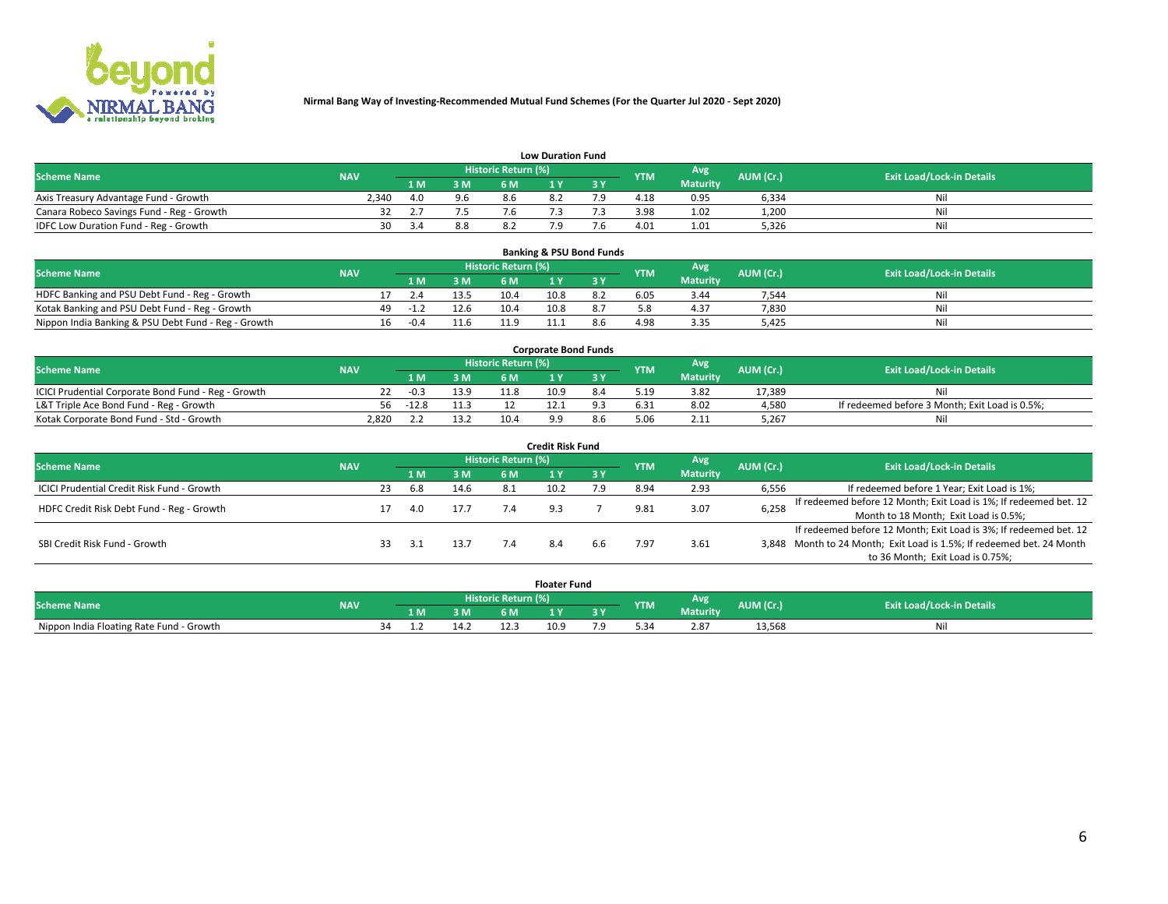

|                                           | <b>Low Duration Fund</b> |      |     |                     |     |     |            |                 |           |                                  |  |  |  |  |  |
|-------------------------------------------|--------------------------|------|-----|---------------------|-----|-----|------------|-----------------|-----------|----------------------------------|--|--|--|--|--|
| <b>Scheme Name</b>                        | <b>NAV</b>               |      |     | Historic Return (%) |     |     | <b>YTM</b> | Avg             | AUM (Cr.) | <b>Exit Load/Lock-in Details</b> |  |  |  |  |  |
|                                           |                          | L M. | 3 M |                     |     | 3 Y |            | <b>Maturity</b> |           |                                  |  |  |  |  |  |
| Axis Treasury Advantage Fund - Growth     | 2.340                    | 4.0  | 9.6 | 8.6                 | 8.2 |     | 4.18       | 0.95            | 6,334     | Nil                              |  |  |  |  |  |
| Canara Robeco Savings Fund - Reg - Growth |                          |      |     | I.Ь                 |     |     | 3.98       | 1.02            | 1,200     | Nil                              |  |  |  |  |  |
| IDFC Low Duration Fund - Reg - Growth     | 30                       |      | 8.8 |                     |     |     | 4.01       | 1.01            | 5,326     | Nil                              |  |  |  |  |  |

| <b>Banking &amp; PSU Bond Funds</b>                 |            |     |        |      |                     |      |     |            |                 |           |                                  |  |  |  |
|-----------------------------------------------------|------------|-----|--------|------|---------------------|------|-----|------------|-----------------|-----------|----------------------------------|--|--|--|
| <b>Scheme Name</b>                                  | <b>NAV</b> |     |        |      | Historic Return (%) |      |     | <b>YTM</b> | Avg             | AUM (Cr.) | <b>Exit Load/Lock-in Details</b> |  |  |  |
|                                                     |            |     | 1 M.   | 3 M  | 6 M                 |      |     |            | <b>Maturity</b> |           |                                  |  |  |  |
| HDFC Banking and PSU Debt Fund - Reg - Growth       |            |     |        | 13.5 | 10.4                | 10.8 | 8.2 | 6.05       | 3.44            | 7.544     | Ni                               |  |  |  |
| Kotak Banking and PSU Debt Fund - Reg - Growth      |            | 49. | $-1.4$ | 12.6 | 10.4                | 10.8 |     |            | 4.37            | 7,830     | Ni                               |  |  |  |
| Nippon India Banking & PSU Debt Fund - Reg - Growth |            | 16  | $-0.4$ | 11.6 | 11 C                |      |     | 4.98       | 3.35            | 5.425     | Ni                               |  |  |  |

| <b>Corporate Bond Funds</b>                         |            |         |      |                            |      |  |            |          |           |                                                |  |  |  |  |
|-----------------------------------------------------|------------|---------|------|----------------------------|------|--|------------|----------|-----------|------------------------------------------------|--|--|--|--|
| <b>Scheme Name</b>                                  | <b>NAV</b> |         |      | <b>Historic Return (%)</b> |      |  | <b>YTM</b> | Avg      | AUM (Cr.) | <b>Exit Load/Lock-in Details</b>               |  |  |  |  |
|                                                     |            |         | 3 M  | 6 M                        |      |  |            | Maturity |           |                                                |  |  |  |  |
| ICICI Prudential Corporate Bond Fund - Reg - Growth |            | $-0.3$  | 13.9 | 11.8                       | 10.9 |  | 5.19       | 3.82     | 17.389    | Nil                                            |  |  |  |  |
| L&T Triple Ace Bond Fund - Reg - Growth             | 56         | $-12.8$ | 11.3 |                            |      |  | 6.31       | 8.02     | 4,580     | If redeemed before 3 Month; Exit Load is 0.5%; |  |  |  |  |
| Kotak Corporate Bond Fund - Std - Growth            | 2.820      |         | 13.2 | 10.4                       |      |  |            | 2.11     | 5,267     | Nil                                            |  |  |  |  |

| <b>Credit Risk Fund</b>                    |            |    |     |      |                     |      |     |            |                 |           |                                                                       |  |  |  |
|--------------------------------------------|------------|----|-----|------|---------------------|------|-----|------------|-----------------|-----------|-----------------------------------------------------------------------|--|--|--|
| <b>Scheme Name</b>                         | <b>NAV</b> |    |     |      | Historic Return (%) |      |     | <b>YTM</b> | <b>Avg</b>      | AUM (Cr.) | <b>Exit Load/Lock-in Details</b>                                      |  |  |  |
|                                            |            |    | 1 M | 3 M  | 6 M                 |      | 3 Y |            | <b>Maturity</b> |           |                                                                       |  |  |  |
| ICICI Prudential Credit Risk Fund - Growth |            | 23 | 6.8 | 14.6 | 8.1                 | 10.2 | 7.9 | 8.94       | 2.93            | 6,556     | If redeemed before 1 Year; Exit Load is 1%;                           |  |  |  |
| HDFC Credit Risk Debt Fund - Reg - Growth  |            |    | 4.0 | 17.7 |                     |      |     |            | 3.07            | 6,258     | If redeemed before 12 Month; Exit Load is 1%; If redeemed bet. 12     |  |  |  |
|                                            |            |    |     |      |                     |      |     |            |                 |           | Month to 18 Month; Exit Load is 0.5%;                                 |  |  |  |
|                                            |            |    |     |      |                     |      |     |            |                 |           | If redeemed before 12 Month; Exit Load is 3%; If redeemed bet. 12     |  |  |  |
| SBI Credit Risk Fund - Growth              |            |    |     | 13.7 |                     |      | 6.6 | 7.97       | 3.61            |           | 3,848 Month to 24 Month; Exit Load is 1.5%; If redeemed bet. 24 Month |  |  |  |
|                                            |            |    |     |      |                     |      |     |            |                 |           | to 36 Month; Exit Load is 0.75%;                                      |  |  |  |

| <b>Floater Fund</b>                      |            |    |     |      |                     |      |   |            |                        |           |                                  |
|------------------------------------------|------------|----|-----|------|---------------------|------|---|------------|------------------------|-----------|----------------------------------|
| <b>Scheme Name</b>                       | <b>NAV</b> |    |     |      | Historic Return (%) |      |   | <b>YTM</b> | Avg<br><b>Maturity</b> | AUM (Cr.) | <b>Exit Load/Lock-in Details</b> |
|                                          |            |    | 1 M | ЗM   | 6 M                 | - 17 | . |            |                        |           |                                  |
| Nippon India Floating Rate Fund - Growth |            | ٦Δ |     | 14.2 |                     | 10.9 |   |            | 2.87                   | 13,568    | NL                               |